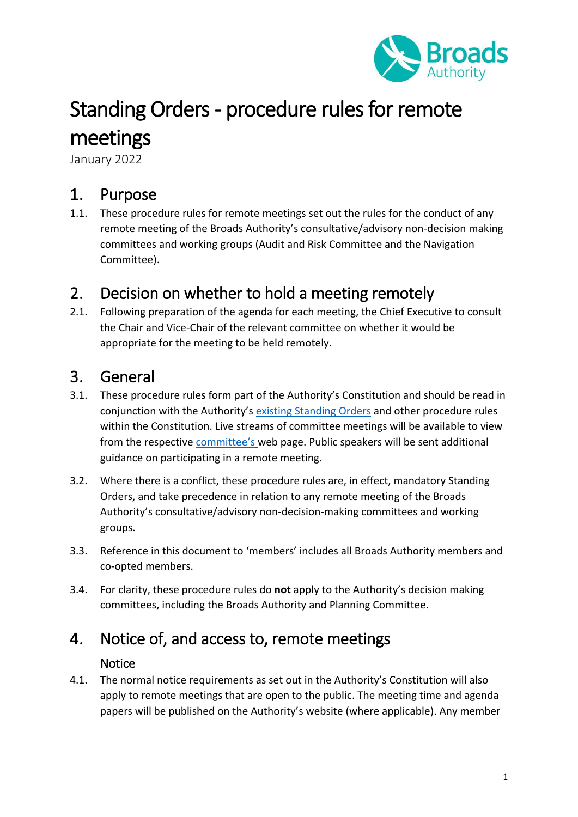

# Standing Orders - procedure rules for remote meetings

January 2022

### 1. Purpose

1.1. These procedure rules for remote meetings set out the rules for the conduct of any remote meeting of the Broads Authority's consultative/advisory non-decision making committees and working groups (Audit and Risk Committee and the Navigation Committee).

### 2. Decision on whether to hold a meeting remotely

2.1. Following preparation of the agenda for each meeting, the Chief Executive to consult the Chair and Vice-Chair of the relevant committee on whether it would be appropriate for the meeting to be held remotely.

### 3. General

- 3.1. These procedure rules form part of the Authority's Constitution and should be read in conjunction with the Authority's [existing Standing Orders](https://www.broads-authority.gov.uk/about-us/committees/constitutional-documents) and other procedure rules within the Constitution. Live streams of committee meetings will be available to view from the respective [committee's](https://www.broads-authority.gov.uk/about-us/committees) web page. Public speakers will be sent additional guidance on participating in a remote meeting.
- 3.2. Where there is a conflict, these procedure rules are, in effect, mandatory Standing Orders, and take precedence in relation to any remote meeting of the Broads Authority's consultative/advisory non-decision-making committees and working groups.
- 3.3. Reference in this document to 'members' includes all Broads Authority members and co-opted members.
- 3.4. For clarity, these procedure rules do **not** apply to the Authority's decision making committees, including the Broads Authority and Planning Committee.

### 4. Notice of, and access to, remote meetings

### **Notice**

4.1. The normal notice requirements as set out in the Authority's Constitution will also apply to remote meetings that are open to the public. The meeting time and agenda papers will be published on the Authority's website (where applicable). Any member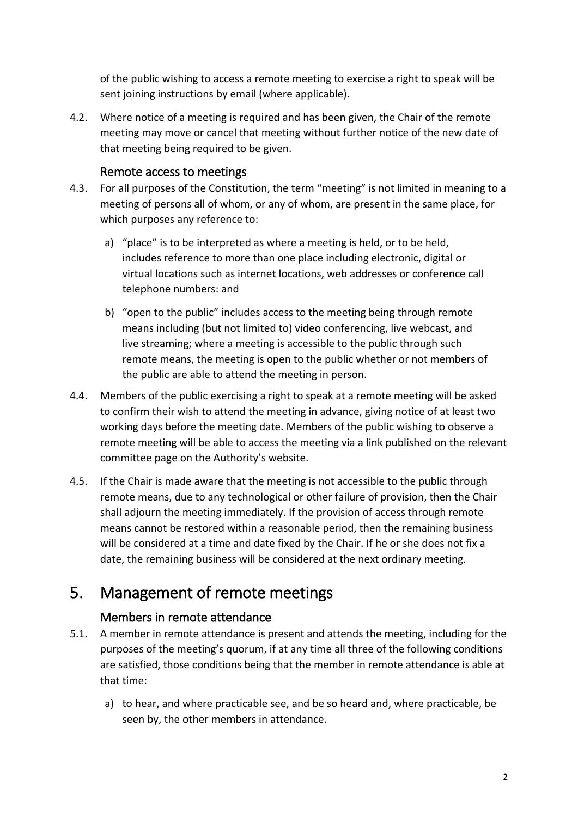of the public wishing to access a remote meeting to exercise a right to speak will be sent joining instructions by email (where applicable).

4.2. Where notice of a meeting is required and has been given, the Chair of the remote meeting may move or cancel that meeting without further notice of the new date of that meeting being required to be given.

#### Remote access to meetings

- 4.3. For all purposes of the Constitution, the term "meeting" is not limited in meaning to a meeting of persons all of whom, or any of whom, are present in the same place, for which purposes any reference to:
	- a) "place" is to be interpreted as where a meeting is held, or to be held, includes reference to more than one place including electronic, digital or virtual locations such as internet locations, web addresses or conference call telephone numbers: and
	- b) "open to the public" includes access to the meeting being through remote means including (but not limited to) video conferencing, live webcast, and live streaming; where a meeting is accessible to the public through such remote means, the meeting is open to the public whether or not members of the public are able to attend the meeting in person.
- 4.4. Members of the public exercising a right to speak at a remote meeting will be asked to confirm their wish to attend the meeting in advance, giving notice of at least two working days before the meeting date. Members of the public wishing to observe a remote meeting will be able to access the meeting via a link published on the relevant committee page on the Authority's website.
- 4.5. If the Chair is made aware that the meeting is not accessible to the public through remote means, due to any technological or other failure of provision, then the Chair shall adjourn the meeting immediately. If the provision of access through remote means cannot be restored within a reasonable period, then the remaining business will be considered at a time and date fixed by the Chair. If he or she does not fix a date, the remaining business will be considered at the next ordinary meeting.

### 5. Management of remote meetings

#### Members in remote attendance

- 5.1. A member in remote attendance is present and attends the meeting, including for the purposes of the meeting's quorum, if at any time all three of the following conditions are satisfied, those conditions being that the member in remote attendance is able at that time:
	- a) to hear, and where practicable see, and be so heard and, where practicable, be seen by, the other members in attendance.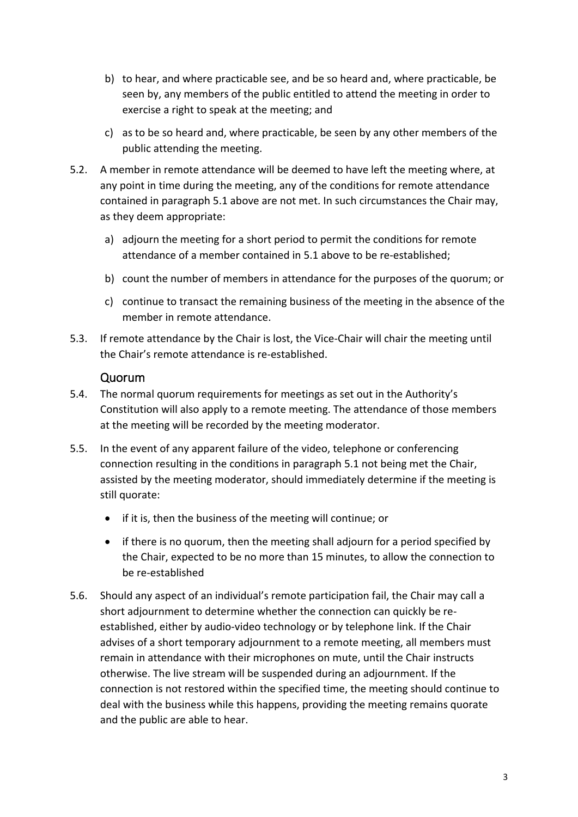- b) to hear, and where practicable see, and be so heard and, where practicable, be seen by, any members of the public entitled to attend the meeting in order to exercise a right to speak at the meeting; and
- c) as to be so heard and, where practicable, be seen by any other members of the public attending the meeting.
- 5.2. A member in remote attendance will be deemed to have left the meeting where, at any point in time during the meeting, any of the conditions for remote attendance contained in paragraph 5.1 above are not met. In such circumstances the Chair may, as they deem appropriate:
	- a) adjourn the meeting for a short period to permit the conditions for remote attendance of a member contained in 5.1 above to be re-established;
	- b) count the number of members in attendance for the purposes of the quorum; or
	- c) continue to transact the remaining business of the meeting in the absence of the member in remote attendance.
- 5.3. If remote attendance by the Chair is lost, the Vice-Chair will chair the meeting until the Chair's remote attendance is re-established.

#### Quorum

- 5.4. The normal quorum requirements for meetings as set out in the Authority's Constitution will also apply to a remote meeting. The attendance of those members at the meeting will be recorded by the meeting moderator.
- 5.5. In the event of any apparent failure of the video, telephone or conferencing connection resulting in the conditions in paragraph 5.1 not being met the Chair, assisted by the meeting moderator, should immediately determine if the meeting is still quorate:
	- if it is, then the business of the meeting will continue; or
	- if there is no quorum, then the meeting shall adjourn for a period specified by the Chair, expected to be no more than 15 minutes, to allow the connection to be re-established
- 5.6. Should any aspect of an individual's remote participation fail, the Chair may call a short adjournment to determine whether the connection can quickly be reestablished, either by audio-video technology or by telephone link. If the Chair advises of a short temporary adjournment to a remote meeting, all members must remain in attendance with their microphones on mute, until the Chair instructs otherwise. The live stream will be suspended during an adjournment. If the connection is not restored within the specified time, the meeting should continue to deal with the business while this happens, providing the meeting remains quorate and the public are able to hear.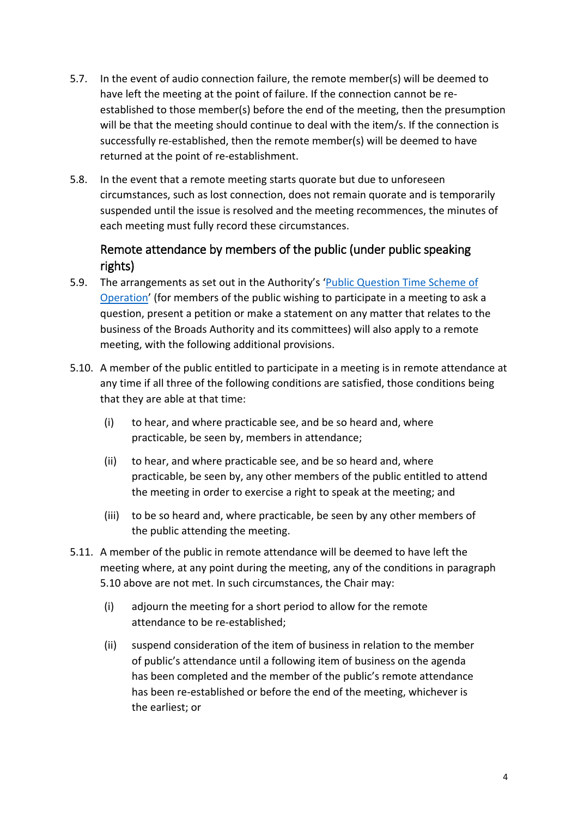- 5.7. In the event of audio connection failure, the remote member(s) will be deemed to have left the meeting at the point of failure. If the connection cannot be reestablished to those member(s) before the end of the meeting, then the presumption will be that the meeting should continue to deal with the item/s. If the connection is successfully re-established, then the remote member(s) will be deemed to have returned at the point of re-establishment.
- 5.8. In the event that a remote meeting starts quorate but due to unforeseen circumstances, such as lost connection, does not remain quorate and is temporarily suspended until the issue is resolved and the meeting recommences, the minutes of each meeting must fully record these circumstances.

### Remote attendance by members of the public (under public speaking rights)

- 5.9. The arrangements as set out in the Authority's '[Public Question Time Scheme of](https://www.broads-authority.gov.uk/about-us/committees/asking-questions-at-meetings)  [Operation](https://www.broads-authority.gov.uk/about-us/committees/asking-questions-at-meetings)' (for members of the public wishing to participate in a meeting to ask a question, present a petition or make a statement on any matter that relates to the business of the Broads Authority and its committees) will also apply to a remote meeting, with the following additional provisions.
- 5.10. A member of the public entitled to participate in a meeting is in remote attendance at any time if all three of the following conditions are satisfied, those conditions being that they are able at that time:
	- (i) to hear, and where practicable see, and be so heard and, where practicable, be seen by, members in attendance;
	- (ii) to hear, and where practicable see, and be so heard and, where practicable, be seen by, any other members of the public entitled to attend the meeting in order to exercise a right to speak at the meeting; and
	- (iii) to be so heard and, where practicable, be seen by any other members of the public attending the meeting.
- 5.11. A member of the public in remote attendance will be deemed to have left the meeting where, at any point during the meeting, any of the conditions in paragraph 5.10 above are not met. In such circumstances, the Chair may:
	- (i) adjourn the meeting for a short period to allow for the remote attendance to be re-established;
	- (ii) suspend consideration of the item of business in relation to the member of public's attendance until a following item of business on the agenda has been completed and the member of the public's remote attendance has been re-established or before the end of the meeting, whichever is the earliest; or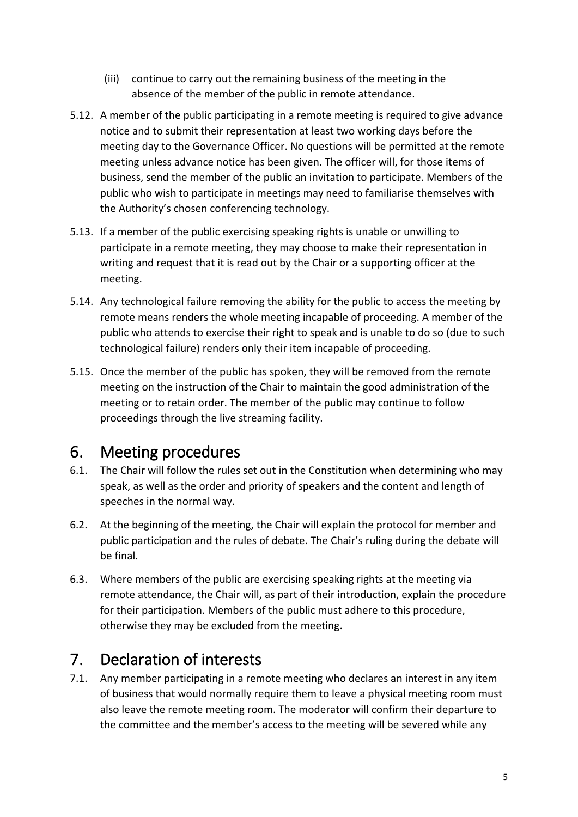- (iii) continue to carry out the remaining business of the meeting in the absence of the member of the public in remote attendance.
- 5.12. A member of the public participating in a remote meeting is required to give advance notice and to submit their representation at least two working days before the meeting day to the Governance Officer. No questions will be permitted at the remote meeting unless advance notice has been given. The officer will, for those items of business, send the member of the public an invitation to participate. Members of the public who wish to participate in meetings may need to familiarise themselves with the Authority's chosen conferencing technology.
- 5.13. If a member of the public exercising speaking rights is unable or unwilling to participate in a remote meeting, they may choose to make their representation in writing and request that it is read out by the Chair or a supporting officer at the meeting.
- 5.14. Any technological failure removing the ability for the public to access the meeting by remote means renders the whole meeting incapable of proceeding. A member of the public who attends to exercise their right to speak and is unable to do so (due to such technological failure) renders only their item incapable of proceeding.
- 5.15. Once the member of the public has spoken, they will be removed from the remote meeting on the instruction of the Chair to maintain the good administration of the meeting or to retain order. The member of the public may continue to follow proceedings through the live streaming facility.

### 6. Meeting procedures

- 6.1. The Chair will follow the rules set out in the Constitution when determining who may speak, as well as the order and priority of speakers and the content and length of speeches in the normal way.
- 6.2. At the beginning of the meeting, the Chair will explain the protocol for member and public participation and the rules of debate. The Chair's ruling during the debate will be final.
- 6.3. Where members of the public are exercising speaking rights at the meeting via remote attendance, the Chair will, as part of their introduction, explain the procedure for their participation. Members of the public must adhere to this procedure, otherwise they may be excluded from the meeting.

# 7. Declaration of interests

7.1. Any member participating in a remote meeting who declares an interest in any item of business that would normally require them to leave a physical meeting room must also leave the remote meeting room. The moderator will confirm their departure to the committee and the member's access to the meeting will be severed while any